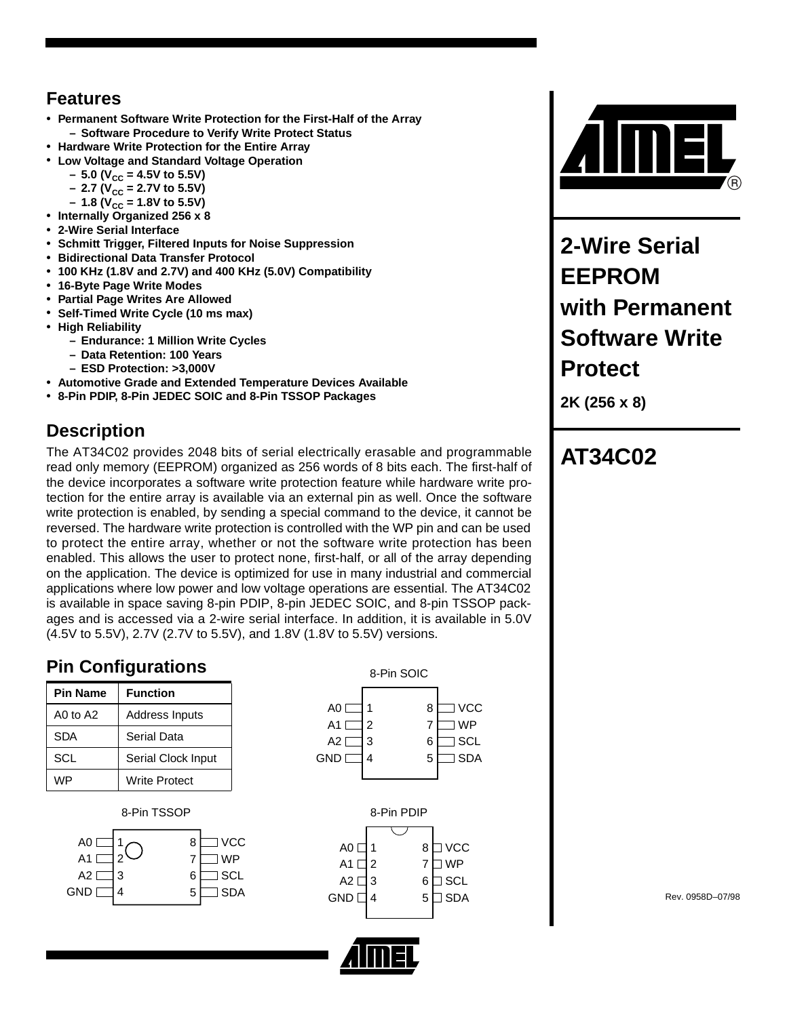#### **Features**

- **Permanent Software Write Protection for the First-Half of the Array – Software Procedure to Verify Write Protect Status**
- **Hardware Write Protection for the Entire Array**
- **Low Voltage and Standard Voltage Operation**
	- $-5.0$  (V<sub>CC</sub> = 4.5V to 5.5V)
	- $-$  2.7 (V<sub>CC</sub> = 2.7V to 5.5V)
	- $-1.8$  (V<sub>CC</sub> = 1.8V to 5.5V)
- **Internally Organized 256 x 8**
- **2-Wire Serial Interface**
- **Schmitt Trigger, Filtered Inputs for Noise Suppression**
- **Bidirectional Data Transfer Protocol**
- **100 KHz (1.8V and 2.7V) and 400 KHz (5.0V) Compatibility**
- **16-Byte Page Write Modes**
- **Partial Page Writes Are Allowed**
- **Self-Timed Write Cycle (10 ms max)**
- **High Reliability**
	- **Endurance: 1 Million Write Cycles**
	- **Data Retention: 100 Years**
	- **ESD Protection: >3,000V**
- **Automotive Grade and Extended Temperature Devices Available**
- **8-Pin PDIP, 8-Pin JEDEC SOIC and 8-Pin TSSOP Packages**

## **Description**

The AT34C02 provides 2048 bits of serial electrically erasable and programmable read only memory (EEPROM) organized as 256 words of 8 bits each. The first-half of the device incorporates a software write protection feature while hardware write protection for the entire array is available via an external pin as well. Once the software write protection is enabled, by sending a special command to the device, it cannot be reversed. The hardware write protection is controlled with the WP pin and can be used to protect the entire array, whether or not the software write protection has been enabled. This allows the user to protect none, first-half, or all of the array depending on the application. The device is optimized for use in many industrial and commercial applications where low power and low voltage operations are essential. The AT34C02 is available in space saving 8-pin PDIP, 8-pin JEDEC SOIC, and 8-pin TSSOP packages and is accessed via a 2-wire serial interface. In addition, it is available in 5.0V (4.5V to 5.5V), 2.7V (2.7V to 5.5V), and 1.8V (1.8V to 5.5V) versions.

## **Pin Configurations**

| <b>Pin Name</b> | <b>Function</b>    |
|-----------------|--------------------|
| AO to $A2$      | Address Inputs     |
| SDA             | <b>Serial Data</b> |
| SCL             | Serial Clock Input |
| WP              | Write Protect      |

#### 8-Pin TSSOP









**2-Wire Serial EEPROM with Permanent Software Write Protect**

**2K (256 x 8)**

# **AT34C02**

Rev. 0958D–07/98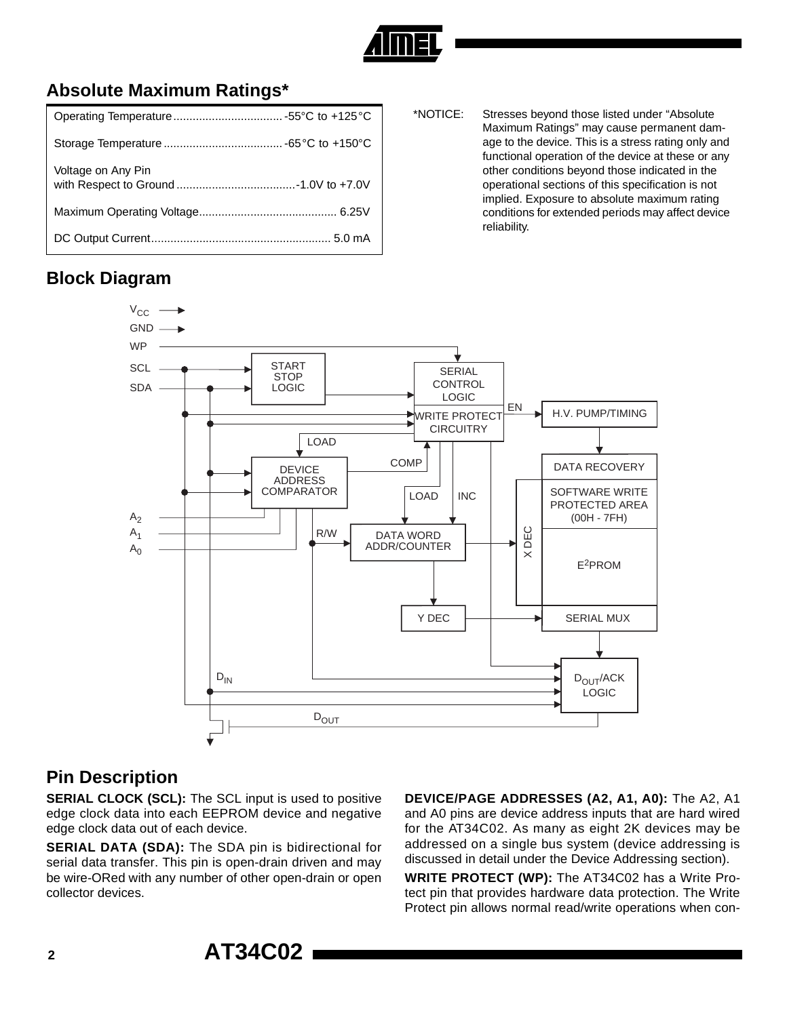

## **Absolute Maximum Ratings\***

| Voltage on Any Pin |
|--------------------|
|                    |
|                    |

\*NOTICE: Stresses beyond those listed under "Absolute Maximum Ratings" may cause permanent damage to the device. This is a stress rating only and functional operation of the device at these or any other conditions beyond those indicated in the operational sections of this specification is not implied. Exposure to absolute maximum rating conditions for extended periods may affect device reliability.

## **Block Diagram**



#### **Pin Description**

**SERIAL CLOCK (SCL):** The SCL input is used to positive edge clock data into each EEPROM device and negative edge clock data out of each device.

**SERIAL DATA (SDA):** The SDA pin is bidirectional for serial data transfer. This pin is open-drain driven and may be wire-ORed with any number of other open-drain or open collector devices.

**DEVICE/PAGE ADDRESSES (A2, A1, A0):** The A2, A1 and A0 pins are device address inputs that are hard wired for the AT34C02. As many as eight 2K devices may be addressed on a single bus system (device addressing is discussed in detail under the Device Addressing section).

**WRITE PROTECT (WP):** The AT34C02 has a Write Protect pin that provides hardware data protection. The Write Protect pin allows normal read/write operations when con-

**<sup>2</sup> AT34C02**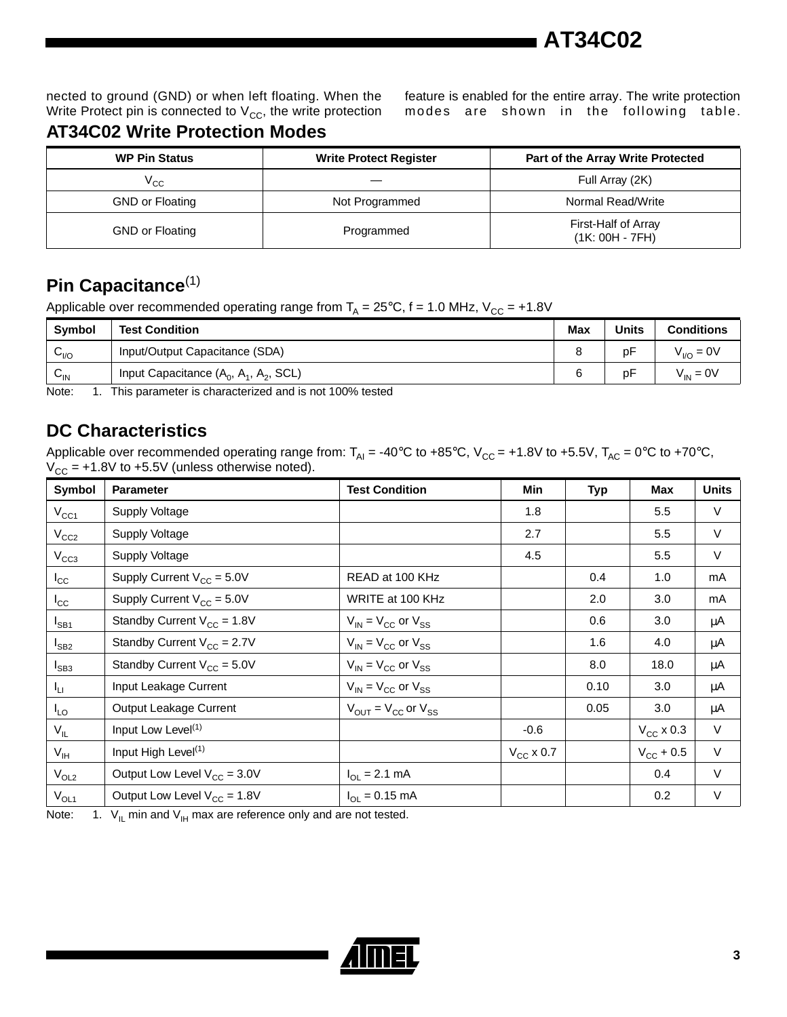

nected to ground (GND) or when left floating. When the Write Protect pin is connected to  $V_{CC}$ , the write protection feature is enabled for the entire array. The write protection modes are shown in the following table.

### **AT34C02 Write Protection Modes**

| <b>WP Pin Status</b>   | <b>Write Protect Register</b> | Part of the Array Write Protected        |  |  |
|------------------------|-------------------------------|------------------------------------------|--|--|
| $\rm v_{cc}$           |                               | Full Array (2K)                          |  |  |
| <b>GND or Floating</b> | Not Programmed                | Normal Read/Write                        |  |  |
| <b>GND or Floating</b> | Programmed                    | First-Half of Array<br>$(1K: 00H - 7FH)$ |  |  |

## **Pin Capacitance**(1)

Applicable over recommended operating range from  $T_A = 25^{\circ}C$ , f = 1.0 MHz,  $V_{CC} = +1.8V$ 

| <b>Symbol</b>   | <b>Test Condition</b>                    | Max | <b>Units</b> | <b>Conditions</b> |
|-----------------|------------------------------------------|-----|--------------|-------------------|
| $C_{VQ}$        | Input/Output Capacitance (SDA)           |     | рF           | $V_{VQ} = 0V$     |
| $v_{\text{IN}}$ | Input Capacitance $(A_0, A_1, A_2, SCL)$ |     | рF           | $V_{IN} = 0V$     |

Note: 1. This parameter is characterized and is not 100% tested

### **DC Characteristics**

Applicable over recommended operating range from:  $T_{Al} = -40^{\circ}C$  to  $+85^{\circ}C$ ,  $V_{CC} = +1.8V$  to  $+5.5V$ ,  $T_{AC} = 0^{\circ}C$  to  $+70^{\circ}C$ ,  $V_{CC}$  = +1.8V to +5.5V (unless otherwise noted).

| Symbol          | <b>Parameter</b>                 | <b>Test Condition</b>                               | <b>Min</b>     | <b>Typ</b> | Max                   | <b>Units</b> |
|-----------------|----------------------------------|-----------------------------------------------------|----------------|------------|-----------------------|--------------|
| $V_{CC1}$       | Supply Voltage                   |                                                     | 1.8            |            | 5.5                   | V            |
| $V_{CC2}$       | Supply Voltage                   |                                                     | 2.7            |            | 5.5                   | V            |
| $V_{CC3}$       | Supply Voltage                   |                                                     | 4.5            |            | 5.5                   | $\vee$       |
| $I_{\rm CC}$    | Supply Current $V_{CC} = 5.0V$   | READ at 100 KHz                                     |                | 0.4        | 1.0                   | mA           |
| $I_{\rm CC}$    | Supply Current $V_{CC} = 5.0V$   | WRITE at 100 KHz                                    |                | 2.0        | 3.0                   | mA           |
| $I_{SB1}$       | Standby Current $V_{CC} = 1.8V$  | $V_{IN}$ = $V_{CC}$ or $V_{SS}$                     |                | 0.6        | 3.0                   | μA           |
| $I_{SB2}$       | Standby Current $V_{CC} = 2.7V$  | $V_{IN}$ = $V_{CC}$ or $V_{SS}$                     |                | 1.6        | 4.0                   | μA           |
| $I_{SB3}$       | Standby Current $V_{CC} = 5.0V$  | $V_{IN}$ = $V_{CC}$ or $V_{SS}$                     |                | 8.0        | 18.0                  | μA           |
| I <sub>LI</sub> | Input Leakage Current            | $V_{IN}$ = $V_{CC}$ or $V_{SS}$                     |                | 0.10       | 3.0                   | μA           |
| $I_{LO}$        | Output Leakage Current           | $V_{\text{OUT}} = V_{\text{CC}}$ or $V_{\text{SS}}$ |                | 0.05       | 3.0                   | μA           |
| $V_{IL}$        | Input Low Level <sup>(1)</sup>   |                                                     | $-0.6$         |            | $V_{CC}$ x 0.3        | V            |
| $V_{\text{IH}}$ | Input High Level <sup>(1)</sup>  |                                                     | $V_{CC}$ x 0.7 |            | $V_{\text{CC}} + 0.5$ | $\vee$       |
| $V_{OL2}$       | Output Low Level $V_{CC} = 3.0V$ | $I_{OL} = 2.1$ mA                                   |                |            | 0.4                   | V            |
| $V_{OL1}$       | Output Low Level $V_{CC} = 1.8V$ | $I_{OL} = 0.15$ mA                                  |                |            | 0.2                   | V            |

Note: 1.  $V_{\text{IL}}$  min and  $V_{\text{IH}}$  max are reference only and are not tested.

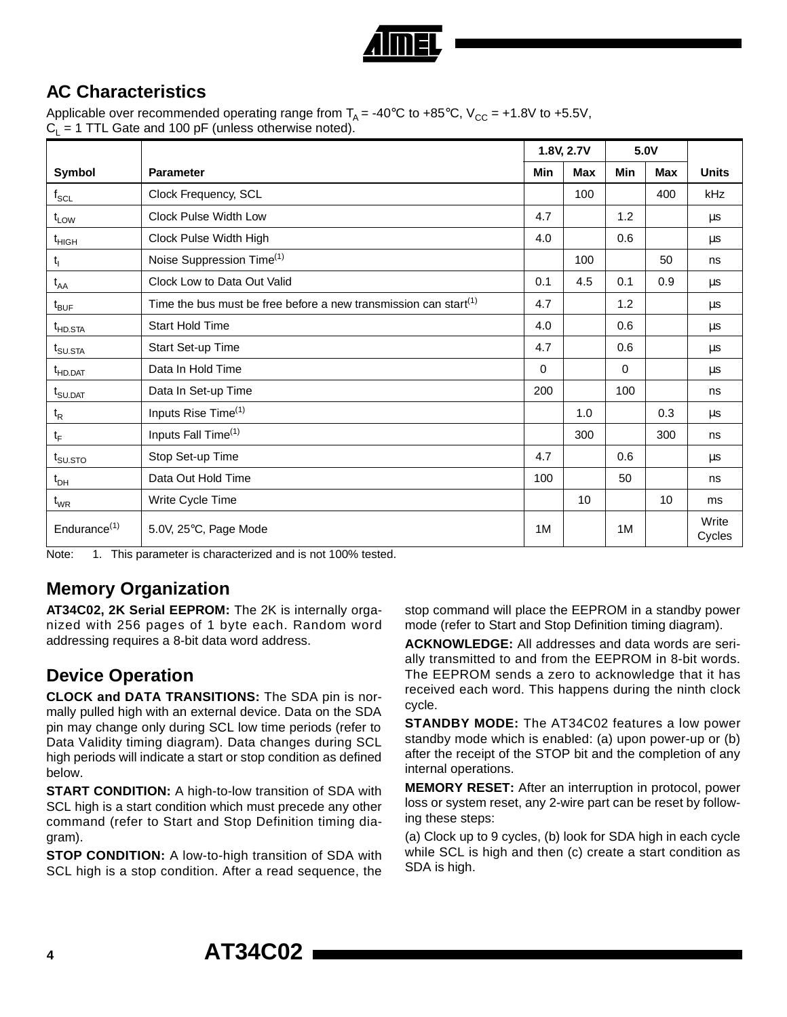

## **AC Characteristics**

Applicable over recommended operating range from  $T_A = -40^{\circ}C$  to  $+85^{\circ}C$ ,  $V_{CC} = +1.8V$  to  $+5.5V$ ,  $C_1 = 1$  TTL Gate and 100 pF (unless otherwise noted).

|                                 |                                                                                           |     | 1.8V, 2.7V |     | 5.0V |                 |
|---------------------------------|-------------------------------------------------------------------------------------------|-----|------------|-----|------|-----------------|
| Symbol                          | <b>Parameter</b>                                                                          | Min | Max        | Min | Max  | <b>Units</b>    |
| $\mathsf{f}_{\mathsf{SCL}}$     | Clock Frequency, SCL                                                                      |     | 100        |     | 400  | kHz             |
| $t_{LOW}$                       | Clock Pulse Width Low                                                                     | 4.7 |            | 1.2 |      | μs              |
| $t_{HIGH}$                      | Clock Pulse Width High                                                                    | 4.0 |            | 0.6 |      | μs              |
| $t_{\rm i}$                     | Noise Suppression Time <sup>(1)</sup>                                                     |     | 100        |     | 50   | ns              |
| $t_{AA}$                        | Clock Low to Data Out Valid                                                               | 0.1 | 4.5        | 0.1 | 0.9  | μs              |
| $t_{\mathsf{BUF}}$              | Time the bus must be free before a new transmission can start <sup><math>(1)</math></sup> | 4.7 |            | 1.2 |      | μs              |
| t <sub>HD.STA</sub>             | <b>Start Hold Time</b>                                                                    | 4.0 |            | 0.6 |      | μs              |
| $t_{\text{SU,STA}}$             | Start Set-up Time                                                                         | 4.7 |            | 0.6 |      | μs              |
| t <sub>HD.DAT</sub>             | Data In Hold Time                                                                         | 0   |            | 0   |      | μs              |
| $t_{\text{SU.DAT}}$             | Data In Set-up Time                                                                       | 200 |            | 100 |      | ns              |
| $t_{\mathsf{R}}$                | Inputs Rise Time <sup>(1)</sup>                                                           |     | 1.0        |     | 0.3  | μs              |
| $t_F$                           | Inputs Fall Time <sup>(1)</sup>                                                           |     | 300        |     | 300  | ns              |
| $t_{\scriptstyle\text{SU,STO}}$ | Stop Set-up Time                                                                          | 4.7 |            | 0.6 |      | $\mu$ s         |
| $t_{DH}$                        | Data Out Hold Time                                                                        | 100 |            | 50  |      | ns              |
| $t_{WR}$                        | Write Cycle Time                                                                          |     | 10         |     | 10   | ms              |
| Endurance $(1)$                 | 5.0V, 25°C, Page Mode                                                                     | 1M  |            | 1M  |      | Write<br>Cycles |

Note: 1. This parameter is characterized and is not 100% tested.

#### **Memory Organization**

**AT34C02, 2K Serial EEPROM:** The 2K is internally organized with 256 pages of 1 byte each. Random word addressing requires a 8-bit data word address.

## **Device Operation**

**CLOCK and DATA TRANSITIONS:** The SDA pin is normally pulled high with an external device. Data on the SDA pin may change only during SCL low time periods (refer to Data Validity timing diagram). Data changes during SCL high periods will indicate a start or stop condition as defined below.

**START CONDITION:** A high-to-low transition of SDA with SCL high is a start condition which must precede any other command (refer to Start and Stop Definition timing diagram).

**STOP CONDITION:** A low-to-high transition of SDA with SCL high is a stop condition. After a read sequence, the stop command will place the EEPROM in a standby power mode (refer to Start and Stop Definition timing diagram).

**ACKNOWLEDGE:** All addresses and data words are serially transmitted to and from the EEPROM in 8-bit words. The EEPROM sends a zero to acknowledge that it has received each word. This happens during the ninth clock cycle.

**STANDBY MODE:** The AT34C02 features a low power standby mode which is enabled: (a) upon power-up or (b) after the receipt of the STOP bit and the completion of any internal operations.

**MEMORY RESET:** After an interruption in protocol, power loss or system reset, any 2-wire part can be reset by following these steps:

(a) Clock up to 9 cycles, (b) look for SDA high in each cycle while SCL is high and then (c) create a start condition as SDA is high.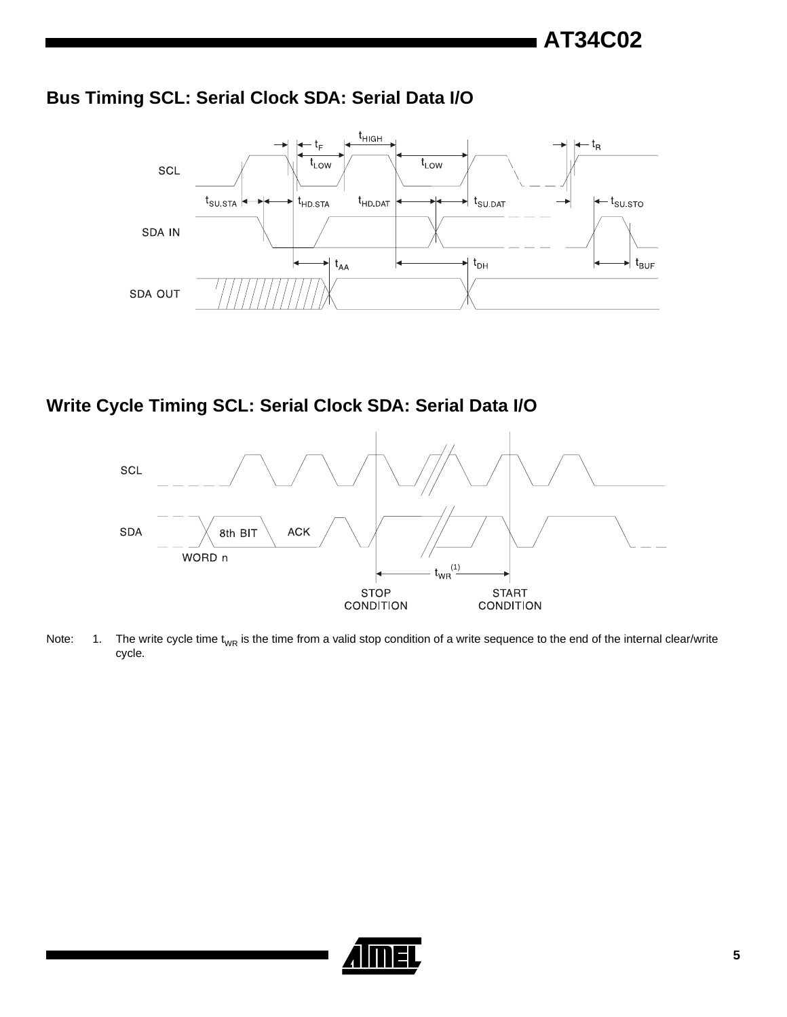## **Bus Timing SCL: Serial Clock SDA: Serial Data I/O**



## **Write Cycle Timing SCL: Serial Clock SDA: Serial Data I/O**



Note: 1. The write cycle time  $t_{WR}$  is the time from a valid stop condition of a write sequence to the end of the internal clear/write cycle.

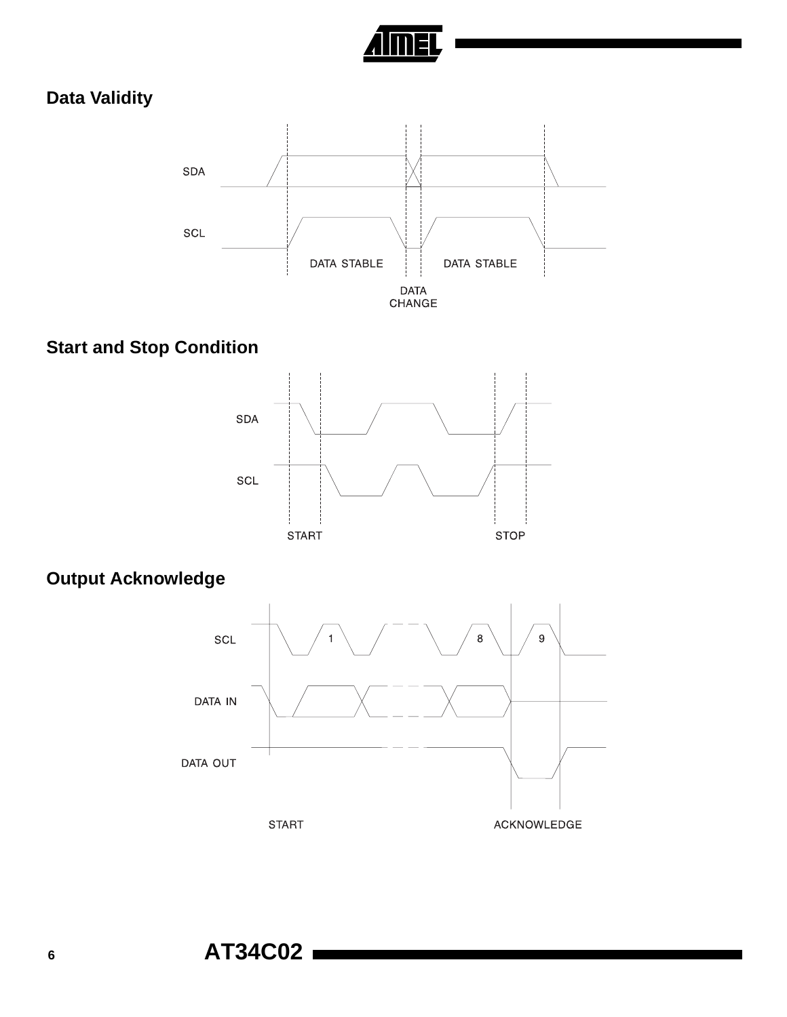

## **Data Validity**



## **Start and Stop Condition**



## **Output Acknowledge**

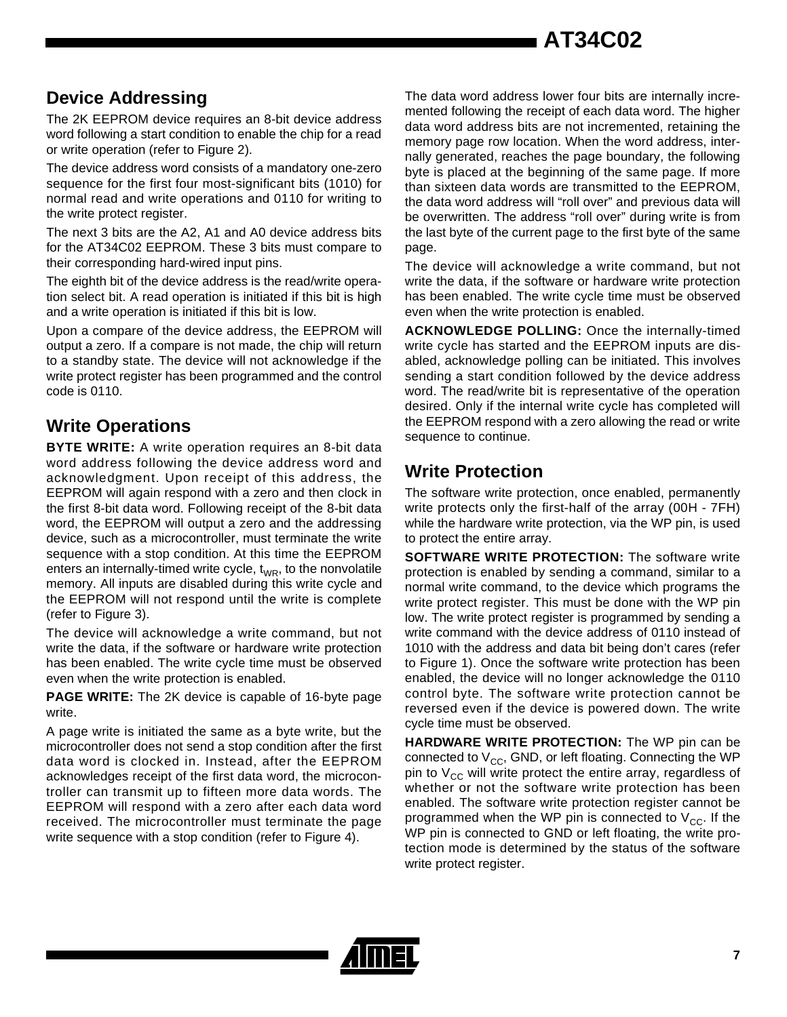## **Device Addressing**

The 2K EEPROM device requires an 8-bit device address word following a start condition to enable the chip for a read or write operation (refer to Figure 2).

The device address word consists of a mandatory one-zero sequence for the first four most-significant bits (1010) for normal read and write operations and 0110 for writing to the write protect register.

The next 3 bits are the A2, A1 and A0 device address bits for the AT34C02 EEPROM. These 3 bits must compare to their corresponding hard-wired input pins.

The eighth bit of the device address is the read/write operation select bit. A read operation is initiated if this bit is high and a write operation is initiated if this bit is low.

Upon a compare of the device address, the EEPROM will output a zero. If a compare is not made, the chip will return to a standby state. The device will not acknowledge if the write protect register has been programmed and the control code is 0110.

### **Write Operations**

**BYTE WRITE:** A write operation requires an 8-bit data word address following the device address word and acknowledgment. Upon receipt of this address, the EEPROM will again respond with a zero and then clock in the first 8-bit data word. Following receipt of the 8-bit data word, the EEPROM will output a zero and the addressing device, such as a microcontroller, must terminate the write sequence with a stop condition. At this time the EEPROM enters an internally-timed write cycle,  $t_{WR}$ , to the nonvolatile memory. All inputs are disabled during this write cycle and the EEPROM will not respond until the write is complete (refer to Figure 3).

The device will acknowledge a write command, but not write the data, if the software or hardware write protection has been enabled. The write cycle time must be observed even when the write protection is enabled.

**PAGE WRITE:** The 2K device is capable of 16-byte page write.

A page write is initiated the same as a byte write, but the microcontroller does not send a stop condition after the first data word is clocked in. Instead, after the EEPROM acknowledges receipt of the first data word, the microcontroller can transmit up to fifteen more data words. The EEPROM will respond with a zero after each data word received. The microcontroller must terminate the page write sequence with a stop condition (refer to Figure 4).

The data word address lower four bits are internally incremented following the receipt of each data word. The higher data word address bits are not incremented, retaining the memory page row location. When the word address, internally generated, reaches the page boundary, the following byte is placed at the beginning of the same page. If more than sixteen data words are transmitted to the EEPROM, the data word address will "roll over" and previous data will be overwritten. The address "roll over" during write is from the last byte of the current page to the first byte of the same page.

The device will acknowledge a write command, but not write the data, if the software or hardware write protection has been enabled. The write cycle time must be observed even when the write protection is enabled.

**ACKNOWLEDGE POLLING:** Once the internally-timed write cycle has started and the EEPROM inputs are disabled, acknowledge polling can be initiated. This involves sending a start condition followed by the device address word. The read/write bit is representative of the operation desired. Only if the internal write cycle has completed will the EEPROM respond with a zero allowing the read or write sequence to continue.

## **Write Protection**

The software write protection, once enabled, permanently write protects only the first-half of the array (00H - 7FH) while the hardware write protection, via the WP pin, is used to protect the entire array.

**SOFTWARE WRITE PROTECTION:** The software write protection is enabled by sending a command, similar to a normal write command, to the device which programs the write protect register. This must be done with the WP pin low. The write protect register is programmed by sending a write command with the device address of 0110 instead of 1010 with the address and data bit being don't cares (refer to Figure 1). Once the software write protection has been enabled, the device will no longer acknowledge the 0110 control byte. The software write protection cannot be reversed even if the device is powered down. The write cycle time must be observed.

**HARDWARE WRITE PROTECTION:** The WP pin can be connected to  $V_{CC}$ , GND, or left floating. Connecting the WP pin to  $V_{CC}$  will write protect the entire array, regardless of whether or not the software write protection has been enabled. The software write protection register cannot be programmed when the WP pin is connected to  $V_{CC}$ . If the WP pin is connected to GND or left floating, the write protection mode is determined by the status of the software write protect register.

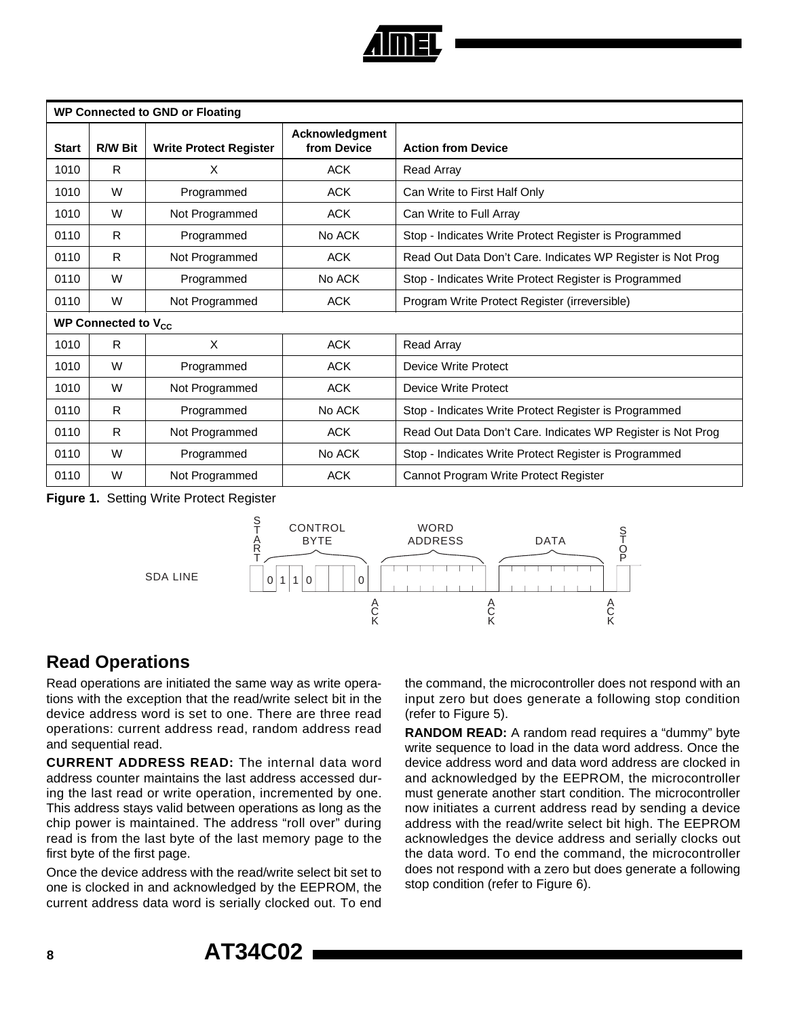

| <b>WP Connected to GND or Floating</b> |                          |                                                                |            |                                                             |  |  |
|----------------------------------------|--------------------------|----------------------------------------------------------------|------------|-------------------------------------------------------------|--|--|
| <b>Start</b>                           | <b>R/W Bit</b>           | Acknowledgment<br>from Device<br><b>Write Protect Register</b> |            | <b>Action from Device</b>                                   |  |  |
| 1010                                   | R.                       | X                                                              | <b>ACK</b> | Read Array                                                  |  |  |
| 1010                                   | W                        | Programmed                                                     | <b>ACK</b> | Can Write to First Half Only                                |  |  |
| 1010                                   | W                        | Not Programmed                                                 | <b>ACK</b> | Can Write to Full Array                                     |  |  |
| 0110                                   | R.                       | Programmed                                                     | No ACK     | Stop - Indicates Write Protect Register is Programmed       |  |  |
| 0110                                   | R.                       | Not Programmed                                                 | ACK        | Read Out Data Don't Care. Indicates WP Register is Not Prog |  |  |
| 0110                                   | W                        | Programmed                                                     | No ACK     | Stop - Indicates Write Protect Register is Programmed       |  |  |
| 0110                                   | W                        | Not Programmed                                                 | <b>ACK</b> | Program Write Protect Register (irreversible)               |  |  |
|                                        | WP Connected to $V_{cc}$ |                                                                |            |                                                             |  |  |
| 1010                                   | R.                       | X                                                              | <b>ACK</b> | <b>Read Array</b>                                           |  |  |
| 1010                                   | W                        | Programmed                                                     | <b>ACK</b> | <b>Device Write Protect</b>                                 |  |  |
| 1010                                   | W                        | Not Programmed                                                 | <b>ACK</b> | Device Write Protect                                        |  |  |
| 0110                                   | R                        | Programmed                                                     | No ACK     | Stop - Indicates Write Protect Register is Programmed       |  |  |
| 0110                                   | R.                       | Not Programmed                                                 | <b>ACK</b> | Read Out Data Don't Care. Indicates WP Register is Not Prog |  |  |
| 0110                                   | W                        | Programmed                                                     | No ACK     | Stop - Indicates Write Protect Register is Programmed       |  |  |
| 0110                                   | W                        | Not Programmed                                                 | <b>ACK</b> | Cannot Program Write Protect Register                       |  |  |

**Figure 1.** Setting Write Protect Register



## **Read Operations**

Read operations are initiated the same way as write operations with the exception that the read/write select bit in the device address word is set to one. There are three read operations: current address read, random address read and sequential read.

**CURRENT ADDRESS READ:** The internal data word address counter maintains the last address accessed during the last read or write operation, incremented by one. This address stays valid between operations as long as the chip power is maintained. The address "roll over" during read is from the last byte of the last memory page to the first byte of the first page.

Once the device address with the read/write select bit set to one is clocked in and acknowledged by the EEPROM, the current address data word is serially clocked out. To end

the command, the microcontroller does not respond with an input zero but does generate a following stop condition (refer to Figure 5).

**RANDOM READ:** A random read requires a "dummy" byte write sequence to load in the data word address. Once the device address word and data word address are clocked in and acknowledged by the EEPROM, the microcontroller must generate another start condition. The microcontroller now initiates a current address read by sending a device address with the read/write select bit high. The EEPROM acknowledges the device address and serially clocks out the data word. To end the command, the microcontroller does not respond with a zero but does generate a following stop condition (refer to Figure 6).

**<sup>8</sup> AT34C02**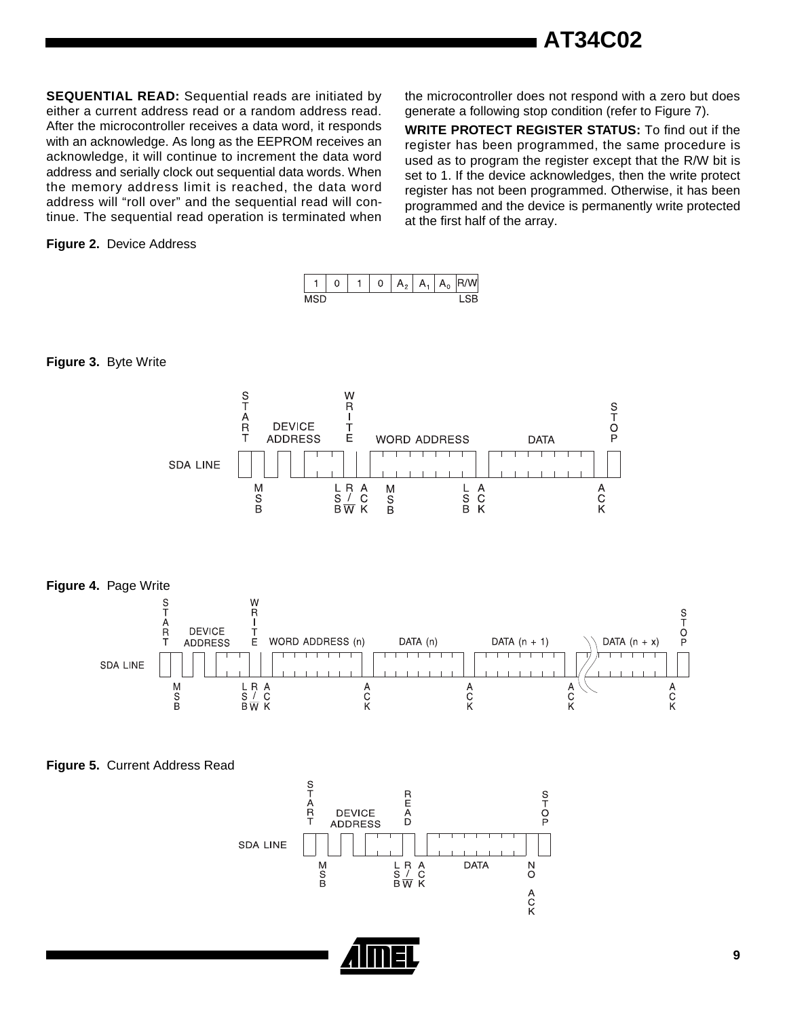**AT34C02**

**SEQUENTIAL READ:** Sequential reads are initiated by either a current address read or a random address read. After the microcontroller receives a data word, it responds with an acknowledge. As long as the EEPROM receives an acknowledge, it will continue to increment the data word address and serially clock out sequential data words. When the memory address limit is reached, the data word address will "roll over" and the sequential read will continue. The sequential read operation is terminated when

#### **Figure 2.** Device Address

the microcontroller does not respond with a zero but does generate a following stop condition (refer to Figure 7).

**WRITE PROTECT REGISTER STATUS:** To find out if the register has been programmed, the same procedure is used as to program the register except that the R/W bit is set to 1. If the device acknowledges, then the write protect register has not been programmed. Otherwise, it has been programmed and the device is permanently write protected at the first half of the array.



#### **Figure 3.** Byte Write



**Figure 5.** Current Address Read

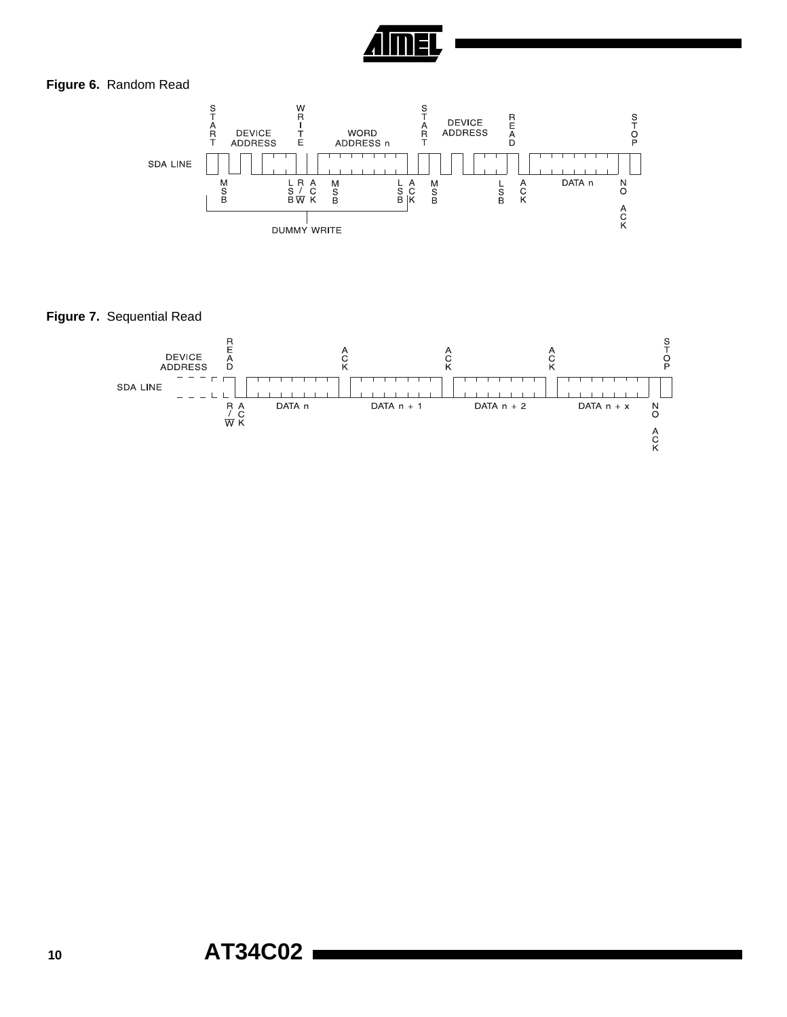

#### **Figure 6.** Random Read



**Figure 7.** Sequential Read

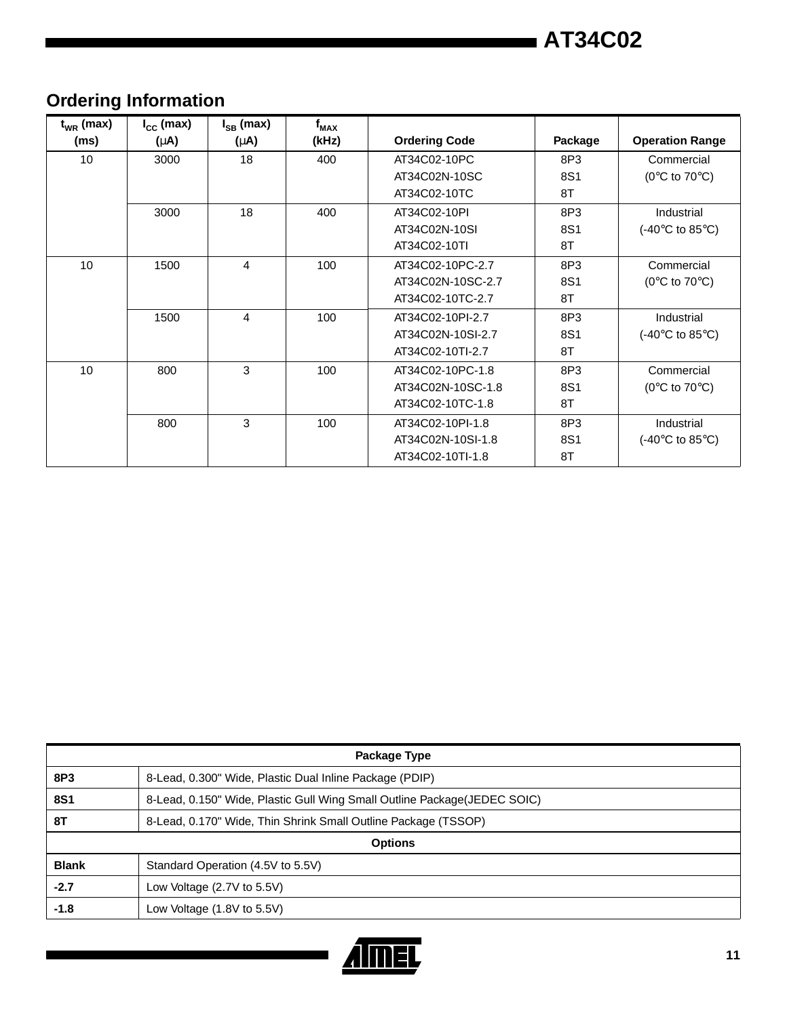# **Ordering Information**

| $t_{WR}$ (max)<br>(ms) | $I_{\text{cc}}$ (max)<br>$(\mu A)$ | $I_{SB}$ (max)<br>$(\mu A)$ | $f_{MAX}$<br>(kHz) | <b>Ordering Code</b> | Package | <b>Operation Range</b>                     |
|------------------------|------------------------------------|-----------------------------|--------------------|----------------------|---------|--------------------------------------------|
| 10                     | 3000                               | 18                          | 400                | AT34C02-10PC         | 8P3     | Commercial                                 |
|                        |                                    |                             |                    | AT34C02N-10SC        | 8S1     | ( $0^{\circ}$ C to $70^{\circ}$ C)         |
|                        |                                    |                             |                    | AT34C02-10TC         | 8T      |                                            |
|                        | 3000                               | 18                          | 400                | AT34C02-10PI         | 8P3     | Industrial                                 |
|                        |                                    |                             |                    | AT34C02N-10SI        | 8S1     | (-40 $\degree$ C to 85 $\degree$ C)        |
|                        |                                    |                             |                    | AT34C02-10TI         | 8T      |                                            |
| 10                     | 1500                               | 4                           | 100                | AT34C02-10PC-2.7     | 8P3     | Commercial                                 |
|                        |                                    |                             |                    | AT34C02N-10SC-2.7    | 8S1     | (0 $\rm ^{\circ}C$ to 70 $\rm ^{\circ}C$ ) |
|                        |                                    |                             |                    | AT34C02-10TC-2.7     | 8T      |                                            |
|                        | 1500                               | 4                           | 100                | AT34C02-10PI-2.7     | 8P3     | Industrial                                 |
|                        |                                    |                             |                    | AT34C02N-10SI-2.7    | 8S1     | (-40 $\degree$ C to 85 $\degree$ C)        |
|                        |                                    |                             |                    | AT34C02-10TI-2.7     | 8T      |                                            |
| 10                     | 800                                | 3                           | 100                | AT34C02-10PC-1.8     | 8P3     | Commercial                                 |
|                        |                                    |                             |                    | AT34C02N-10SC-1.8    | 8S1     | (0 $\rm ^{\circ}C$ to 70 $\rm ^{\circ}C$ ) |
|                        |                                    |                             |                    | AT34C02-10TC-1.8     | 8T      |                                            |
|                        | 800                                | 3                           | 100                | AT34C02-10PI-1.8     | 8P3     | Industrial                                 |
|                        |                                    |                             |                    | AT34C02N-10SI-1.8    | 8S1     | (-40 $\degree$ C to 85 $\degree$ C)        |
|                        |                                    |                             |                    | AT34C02-10TI-1.8     | 8T      |                                            |

| Package Type   |                                                                           |  |  |
|----------------|---------------------------------------------------------------------------|--|--|
| 8P3            | 8-Lead, 0.300" Wide, Plastic Dual Inline Package (PDIP)                   |  |  |
| <b>8S1</b>     | 8-Lead, 0.150" Wide, Plastic Gull Wing Small Outline Package (JEDEC SOIC) |  |  |
| 8T             | 8-Lead, 0.170" Wide, Thin Shrink Small Outline Package (TSSOP)            |  |  |
| <b>Options</b> |                                                                           |  |  |
| <b>Blank</b>   | Standard Operation (4.5V to 5.5V)                                         |  |  |
| $-2.7$         | Low Voltage (2.7V to 5.5V)                                                |  |  |
| $-1.8$         | Low Voltage $(1.8V)$ to 5.5V)                                             |  |  |